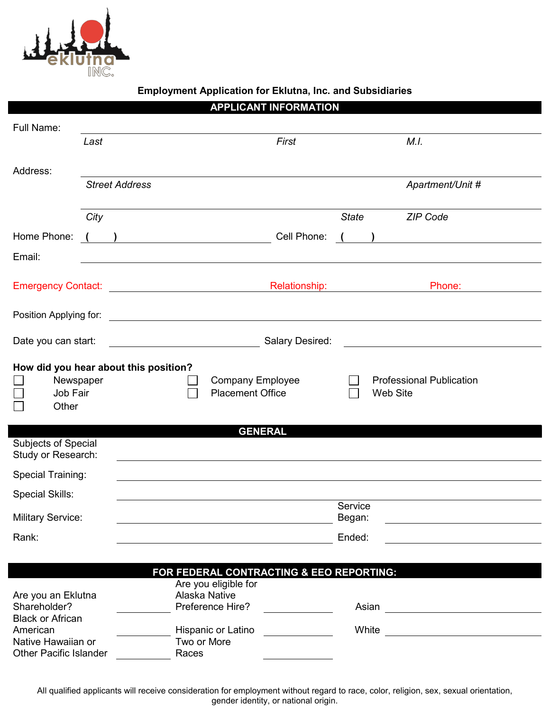

## **Employment Application for Eklutna, Inc. and Subsidiaries**

|                                                           |      |                                                                            | <b>APPLICANT INFORMATION</b>             |                                 |                                             |                                                 |
|-----------------------------------------------------------|------|----------------------------------------------------------------------------|------------------------------------------|---------------------------------|---------------------------------------------|-------------------------------------------------|
| Full Name:                                                |      |                                                                            |                                          |                                 |                                             |                                                 |
|                                                           | Last |                                                                            | First                                    |                                 | M.I.                                        |                                                 |
|                                                           |      |                                                                            |                                          |                                 |                                             |                                                 |
| Address:                                                  |      | <b>Street Address</b>                                                      |                                          |                                 | Apartment/Unit #                            |                                                 |
|                                                           |      |                                                                            |                                          |                                 |                                             |                                                 |
|                                                           | City |                                                                            |                                          | <b>State</b>                    | <b>ZIP Code</b>                             |                                                 |
| Home Phone:                                               |      | $\left(\begin{array}{c} \begin{array}{c} \end{array}\\ \end{array}\right)$ | Cell Phone:                              |                                 |                                             | <u> 1980 - Andrea Andrew Maria (h. 1980).</u>   |
| Email:                                                    |      |                                                                            |                                          |                                 |                                             |                                                 |
|                                                           |      |                                                                            |                                          |                                 |                                             |                                                 |
|                                                           |      | Emergency Contact: <u>__________________________________</u>               |                                          |                                 | <b>Relationship: Example 2019</b><br>Phone: |                                                 |
|                                                           |      |                                                                            |                                          |                                 |                                             |                                                 |
|                                                           |      |                                                                            |                                          |                                 |                                             |                                                 |
| Date you can start:                                       |      |                                                                            | Salary Desired:                          |                                 |                                             |                                                 |
|                                                           |      | How did you hear about this position?                                      |                                          |                                 |                                             |                                                 |
| Newspaper<br><b>Company Employee</b>                      |      |                                                                            |                                          | <b>Professional Publication</b> |                                             |                                                 |
| Job Fair<br>Other                                         |      |                                                                            | <b>Placement Office</b>                  |                                 | Web Site                                    |                                                 |
|                                                           |      |                                                                            |                                          |                                 |                                             |                                                 |
| Subjects of Special                                       |      |                                                                            | <b>GENERAL</b>                           |                                 |                                             |                                                 |
| Study or Research:                                        |      |                                                                            |                                          |                                 |                                             |                                                 |
| Special Training:                                         |      |                                                                            |                                          |                                 |                                             |                                                 |
| <b>Special Skills:</b>                                    |      |                                                                            |                                          |                                 |                                             |                                                 |
| <b>Military Service:</b>                                  |      |                                                                            |                                          | Service<br>Began:               |                                             |                                                 |
|                                                           |      |                                                                            |                                          |                                 |                                             |                                                 |
| Rank:                                                     |      |                                                                            |                                          | Ended:                          |                                             |                                                 |
|                                                           |      |                                                                            | FOR FEDERAL CONTRACTING & EEO REPORTING: |                                 |                                             |                                                 |
|                                                           |      |                                                                            | Are you eligible for                     |                                 |                                             |                                                 |
| Are you an Eklutna                                        |      |                                                                            | Alaska Native                            |                                 |                                             |                                                 |
| Shareholder?                                              |      |                                                                            | Preference Hire?                         |                                 | Asian                                       | <u> 1989 - Johann Stone, fransk politiker (</u> |
| <b>Black or African</b><br>American<br>Native Hawaiian or |      |                                                                            | Hispanic or Latino                       |                                 |                                             |                                                 |
|                                                           |      | Two or More                                                                |                                          |                                 |                                             |                                                 |
| <b>Other Pacific Islander</b>                             |      | Races                                                                      |                                          |                                 |                                             |                                                 |

All qualified applicants will receive consideration for employment without regard to race, color, religion, sex, sexual orientation, gender identity, or national origin.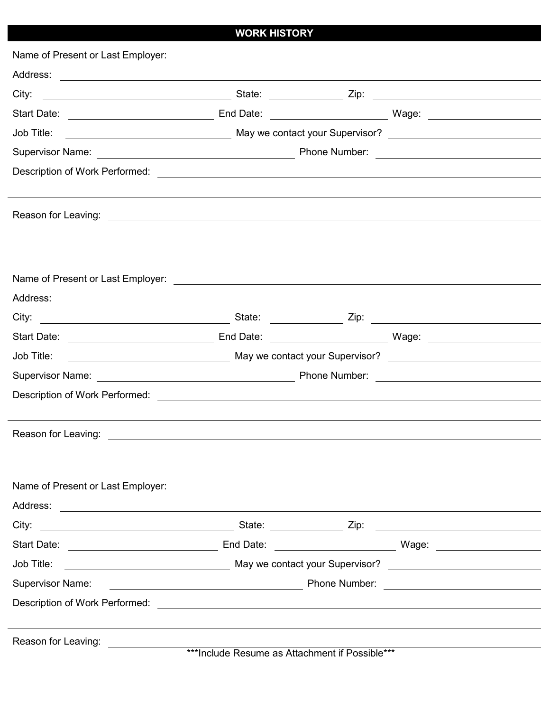| <b>WORK HISTORY</b> |  |  |
|---------------------|--|--|
|                     |  |  |

| Job Title:              |  |  |  |
|-------------------------|--|--|--|
|                         |  |  |  |
|                         |  |  |  |
|                         |  |  |  |
|                         |  |  |  |
|                         |  |  |  |
|                         |  |  |  |
|                         |  |  |  |
|                         |  |  |  |
| Job Title:              |  |  |  |
|                         |  |  |  |
|                         |  |  |  |
|                         |  |  |  |
|                         |  |  |  |
|                         |  |  |  |
|                         |  |  |  |
|                         |  |  |  |
|                         |  |  |  |
| City:                   |  |  |  |
|                         |  |  |  |
| Job Title:              |  |  |  |
| <b>Supervisor Name:</b> |  |  |  |
|                         |  |  |  |